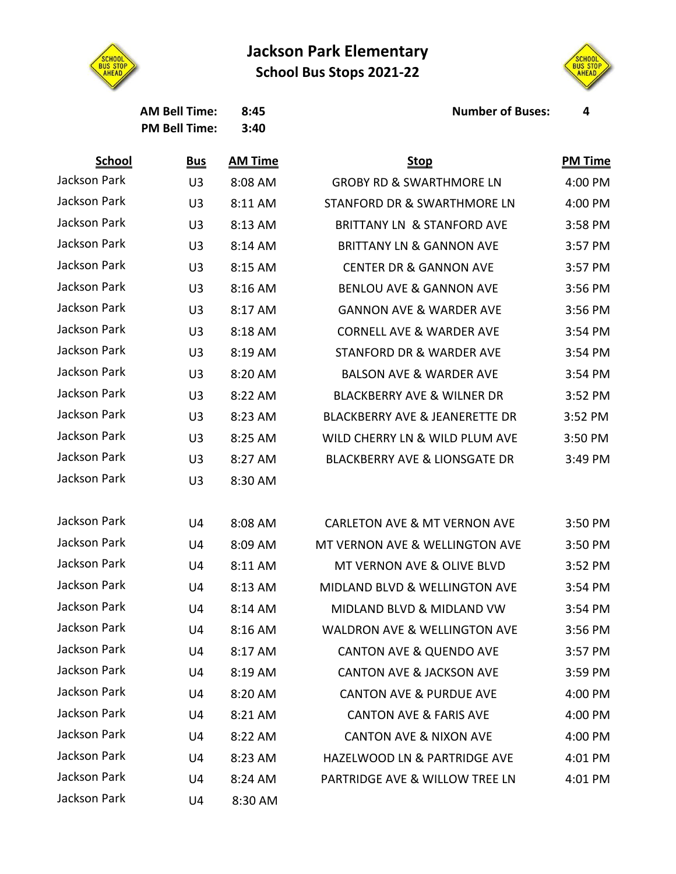## **Jackson Park Elementary School Bus Stops 2021-22**



**PM Bell Time: 3:40**



**AM Bell Time: 8:45 Number of Buses: 4**

| <b>School</b>       | <u>Bus</u>     | <b>AM Time</b> | <b>Stop</b>                               | <b>PM Time</b> |
|---------------------|----------------|----------------|-------------------------------------------|----------------|
| Jackson Park        | U <sub>3</sub> | 8:08 AM        | <b>GROBY RD &amp; SWARTHMORE LN</b>       | 4:00 PM        |
| Jackson Park        | U <sub>3</sub> | 8:11 AM        | STANFORD DR & SWARTHMORE LN               | 4:00 PM        |
| <b>Jackson Park</b> | U <sub>3</sub> | 8:13 AM        | <b>BRITTANY LN &amp; STANFORD AVE</b>     | 3:58 PM        |
| Jackson Park        | U <sub>3</sub> | 8:14 AM        | <b>BRITTANY LN &amp; GANNON AVE</b>       | 3:57 PM        |
| Jackson Park        | U <sub>3</sub> | 8:15 AM        | <b>CENTER DR &amp; GANNON AVE</b>         | 3:57 PM        |
| <b>Jackson Park</b> | U <sub>3</sub> | 8:16 AM        | <b>BENLOU AVE &amp; GANNON AVE</b>        | 3:56 PM        |
| Jackson Park        | U <sub>3</sub> | 8:17 AM        | <b>GANNON AVE &amp; WARDER AVE</b>        | 3:56 PM        |
| Jackson Park        | U <sub>3</sub> | 8:18 AM        | <b>CORNELL AVE &amp; WARDER AVE</b>       | 3:54 PM        |
| Jackson Park        | U <sub>3</sub> | 8:19 AM        | <b>STANFORD DR &amp; WARDER AVE</b>       | 3:54 PM        |
| Jackson Park        | U <sub>3</sub> | 8:20 AM        | <b>BALSON AVE &amp; WARDER AVE</b>        | 3:54 PM        |
| <b>Jackson Park</b> | U <sub>3</sub> | 8:22 AM        | <b>BLACKBERRY AVE &amp; WILNER DR</b>     | 3:52 PM        |
| Jackson Park        | U <sub>3</sub> | 8:23 AM        | <b>BLACKBERRY AVE &amp; JEANERETTE DR</b> | 3:52 PM        |
| Jackson Park        | U <sub>3</sub> | 8:25 AM        | WILD CHERRY LN & WILD PLUM AVE            | 3:50 PM        |
| Jackson Park        | U <sub>3</sub> | 8:27 AM        | <b>BLACKBERRY AVE &amp; LIONSGATE DR</b>  | 3:49 PM        |
| Jackson Park        | U <sub>3</sub> | 8:30 AM        |                                           |                |
| Jackson Park        | U4             | 8:08 AM        | <b>CARLETON AVE &amp; MT VERNON AVE</b>   | 3:50 PM        |
| Jackson Park        | U4             | 8:09 AM        | MT VERNON AVE & WELLINGTON AVE            | 3:50 PM        |
| Jackson Park        | U4             | 8:11 AM        | MT VERNON AVE & OLIVE BLVD                | 3:52 PM        |
| Jackson Park        | U4             | 8:13 AM        | MIDLAND BLVD & WELLINGTON AVE             | 3:54 PM        |
| <b>Jackson Park</b> | U4             | 8:14 AM        | MIDLAND BLVD & MIDLAND VW                 | 3:54 PM        |
| Jackson Park        | U4             | 8:16 AM        | <b>WALDRON AVE &amp; WELLINGTON AVE</b>   | 3:56 PM        |
| Jackson Park        | U4             | 8:17 AM        | <b>CANTON AVE &amp; QUENDO AVE</b>        | 3:57 PM        |
| Jackson Park        | U4             | 8:19 AM        | <b>CANTON AVE &amp; JACKSON AVE</b>       | 3:59 PM        |
| Jackson Park        | U4             | 8:20 AM        | <b>CANTON AVE &amp; PURDUE AVE</b>        | 4:00 PM        |
| Jackson Park        | U4             | 8:21 AM        | <b>CANTON AVE &amp; FARIS AVE</b>         | 4:00 PM        |
| Jackson Park        | U4             | 8:22 AM        | <b>CANTON AVE &amp; NIXON AVE</b>         | 4:00 PM        |
| Jackson Park        | U4             | 8:23 AM        | HAZELWOOD LN & PARTRIDGE AVE              | 4:01 PM        |
| Jackson Park        | U4             | 8:24 AM        | PARTRIDGE AVE & WILLOW TREE LN            | 4:01 PM        |
| Jackson Park        | U4             | 8:30 AM        |                                           |                |